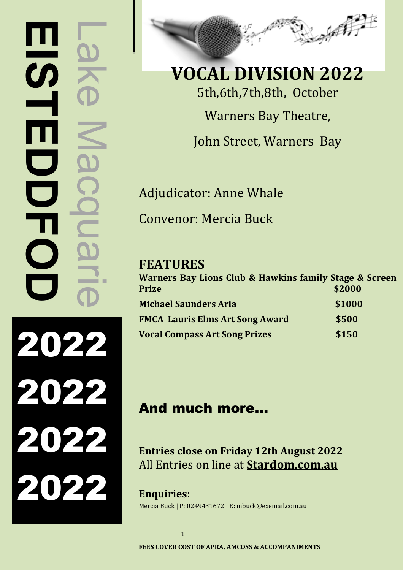# Lake Macquarie **EISTEDDE** Ш M.  $\overline{\phantom{0}}$  $\overline{\mathsf{C}}$  $\overline{\mathbf{O}}$ 2022 2022 2022 2022



**VOCAL DIVISION 2022** 5th,6th,7th,8th, October Warners Bay Theatre, John Street, Warners Bay

Adjudicator: Anne Whale Convenor: Mercia Buck

## **FEATURES**

| Warners Bay Lions Club & Hawkins family Stage & Screen<br>Prize | \$2000 |
|-----------------------------------------------------------------|--------|
| <b>Michael Saunders Aria</b>                                    | \$1000 |
| <b>FMCA Lauris Elms Art Song Award</b>                          | \$500  |
| <b>Vocal Compass Art Song Prizes</b>                            | \$150  |

## And much more…

**Entries close on Friday 12th August 2022**  All Entries on line at **Stardom.com.au**

**Enquiries:** Mercia Buck | P: 0249431672 | E: mbuck@exemail.com.au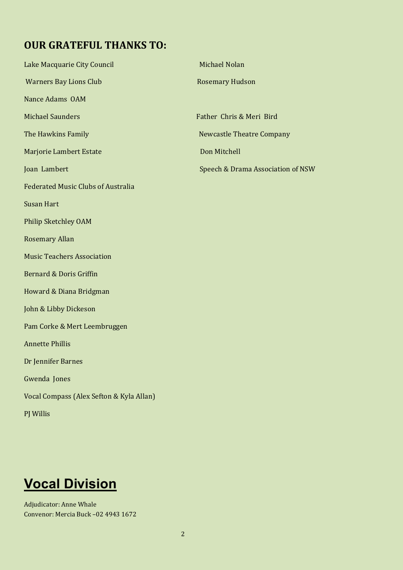## **OUR GRATEFUL THANKS TO:**

| <b>Warners Bay Lions Club</b><br><b>Rosemary Hudson</b><br>Nance Adams OAM<br><b>Michael Saunders</b><br>Father Chris & Meri Bird<br>The Hawkins Family<br><b>Newcastle Theatre Company</b><br>Marjorie Lambert Estate<br>Don Mitchell<br>Joan Lambert<br>Speech & Drama Association of NSW<br><b>Federated Music Clubs of Australia</b><br><b>Susan Hart</b><br><b>Philip Sketchley OAM</b><br><b>Rosemary Allan</b><br><b>Music Teachers Association</b><br><b>Bernard &amp; Doris Griffin</b><br>Howard & Diana Bridgman<br>John & Libby Dickeson<br>Pam Corke & Mert Leembruggen<br><b>Annette Phillis</b><br>Dr Jennifer Barnes<br>Gwenda Jones<br>Vocal Compass (Alex Sefton & Kyla Allan)<br>PJ Willis | Lake Macquarie City Council | Michael Nolan |
|---------------------------------------------------------------------------------------------------------------------------------------------------------------------------------------------------------------------------------------------------------------------------------------------------------------------------------------------------------------------------------------------------------------------------------------------------------------------------------------------------------------------------------------------------------------------------------------------------------------------------------------------------------------------------------------------------------------|-----------------------------|---------------|
|                                                                                                                                                                                                                                                                                                                                                                                                                                                                                                                                                                                                                                                                                                               |                             |               |
|                                                                                                                                                                                                                                                                                                                                                                                                                                                                                                                                                                                                                                                                                                               |                             |               |
|                                                                                                                                                                                                                                                                                                                                                                                                                                                                                                                                                                                                                                                                                                               |                             |               |
|                                                                                                                                                                                                                                                                                                                                                                                                                                                                                                                                                                                                                                                                                                               |                             |               |
|                                                                                                                                                                                                                                                                                                                                                                                                                                                                                                                                                                                                                                                                                                               |                             |               |
|                                                                                                                                                                                                                                                                                                                                                                                                                                                                                                                                                                                                                                                                                                               |                             |               |
|                                                                                                                                                                                                                                                                                                                                                                                                                                                                                                                                                                                                                                                                                                               |                             |               |
|                                                                                                                                                                                                                                                                                                                                                                                                                                                                                                                                                                                                                                                                                                               |                             |               |
|                                                                                                                                                                                                                                                                                                                                                                                                                                                                                                                                                                                                                                                                                                               |                             |               |
|                                                                                                                                                                                                                                                                                                                                                                                                                                                                                                                                                                                                                                                                                                               |                             |               |
|                                                                                                                                                                                                                                                                                                                                                                                                                                                                                                                                                                                                                                                                                                               |                             |               |
|                                                                                                                                                                                                                                                                                                                                                                                                                                                                                                                                                                                                                                                                                                               |                             |               |
|                                                                                                                                                                                                                                                                                                                                                                                                                                                                                                                                                                                                                                                                                                               |                             |               |
|                                                                                                                                                                                                                                                                                                                                                                                                                                                                                                                                                                                                                                                                                                               |                             |               |
|                                                                                                                                                                                                                                                                                                                                                                                                                                                                                                                                                                                                                                                                                                               |                             |               |
|                                                                                                                                                                                                                                                                                                                                                                                                                                                                                                                                                                                                                                                                                                               |                             |               |
|                                                                                                                                                                                                                                                                                                                                                                                                                                                                                                                                                                                                                                                                                                               |                             |               |
|                                                                                                                                                                                                                                                                                                                                                                                                                                                                                                                                                                                                                                                                                                               |                             |               |
|                                                                                                                                                                                                                                                                                                                                                                                                                                                                                                                                                                                                                                                                                                               |                             |               |
|                                                                                                                                                                                                                                                                                                                                                                                                                                                                                                                                                                                                                                                                                                               |                             |               |

## **Vocal Division**

Adjudicator: Anne Whale Convenor: Mercia Buck –02 4943 1672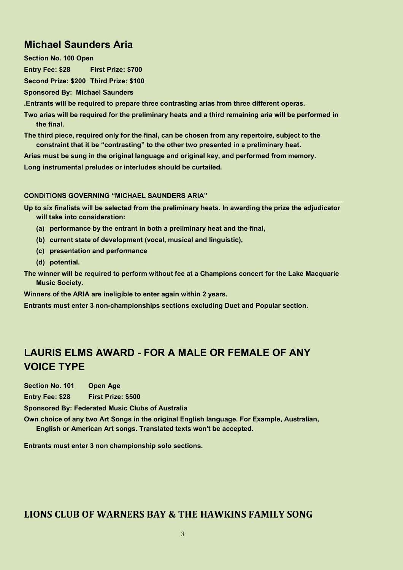## **Michael Saunders Aria**

**Section No. 100 Open**

**Entry Fee: \$28 First Prize: \$700**

**Second Prize: \$200 Third Prize: \$100**

**Sponsored By: Michael Saunders**

**.Entrants will be required to prepare three contrasting arias from three different operas.**

**Two arias will be required for the preliminary heats and a third remaining aria will be performed in the final.**

**The third piece, required only for the final, can be chosen from any repertoire, subject to the constraint that it be "contrasting" to the other two presented in a preliminary heat.**

**Arias must be sung in the original language and original key, and performed from memory.**

**Long instrumental preludes or interludes should be curtailed.**

#### **CONDITIONS GOVERNING "MICHAEL SAUNDERS ARIA"**

**Up to six finalists will be selected from the preliminary heats. In awarding the prize the adjudicator will take into consideration:**

- **(a) performance by the entrant in both a preliminary heat and the final,**
- **(b) current state of development (vocal, musical and linguistic),**
- **(c) presentation and performance**
- **(d) potential.**

**The winner will be required to perform without fee at a Champions concert for the Lake Macquarie Music Society.**

**Winners of the ARIA are ineligible to enter again within 2 years.**

**Entrants must enter 3 non-championships sections excluding Duet and Popular section.**

## **LAURIS ELMS AWARD - FOR A MALE OR FEMALE OF ANY VOICE TYPE**

**Section No. 101 Open Age**

**Entry Fee: \$28 First Prize: \$500**

**Sponsored By: Federated Music Clubs of Australia**

**Own choice of any two Art Songs in the original English language. For Example, Australian, English or American Art songs. Translated texts won't be accepted.** 

**Entrants must enter 3 non championship solo sections.**

#### **LIONS CLUB OF WARNERS BAY & THE HAWKINS FAMILY SONG**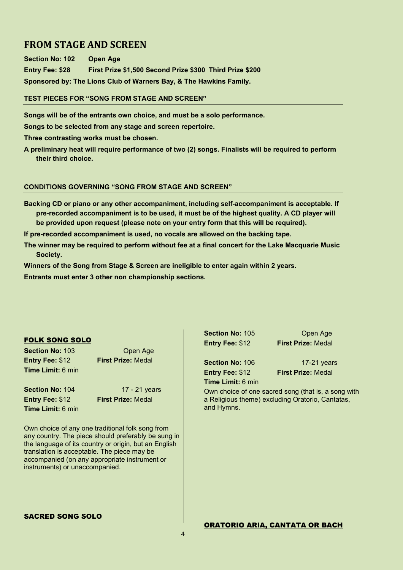#### **FROM STAGE AND SCREEN**

**Section No: 102 Open Age Entry Fee: \$28 First Prize \$1,500 Second Prize \$300 Third Prize \$200 Sponsored by: The Lions Club of Warners Bay, & The Hawkins Family.**

**TEST PIECES FOR "SONG FROM STAGE AND SCREEN"**

**Songs will be of the entrants own choice, and must be a solo performance.**

**Songs to be selected from any stage and screen repertoire.**

**Three contrasting works must be chosen.**

**A preliminary heat will require performance of two (2) songs. Finalists will be required to perform their third choice.**

#### **CONDITIONS GOVERNING "SONG FROM STAGE AND SCREEN"**

**Backing CD or piano or any other accompaniment, including self-accompaniment is acceptable. If pre-recorded accompaniment is to be used, it must be of the highest quality. A CD player will be provided upon request (please note on your entry form that this will be required).** 

**If pre-recorded accompaniment is used, no vocals are allowed on the backing tape.**

**The winner may be required to perform without fee at a final concert for the Lake Macquarie Music Society.**

**Winners of the Song from Stage & Screen are ineligible to enter again within 2 years.**

**Entrants must enter 3 other non championship sections.**

#### FOLK SONG SOLO

**Section No: 103** Open Age **Entry Fee:** \$12 **First Prize:** Medal **Time Limit:** 6 min

**Time Limit:** 6 min

**Section No: 104 17 - 21 years Entry Fee:** \$12 **First Prize:** Medal

Own choice of any one traditional folk song from any country. The piece should preferably be sung in the language of its country or origin, but an English translation is acceptable. The piece may be accompanied (on any appropriate instrument or instruments) or unaccompanied.

**Section No: 105 Open Age Entry Fee:** \$12 **First Prize:** Medal

**Time Limit:** 6 min

**Section No: 106 17-21 years Entry Fee:** \$12 **First Prize:** Medal

Own choice of one sacred song (that is, a song with a Religious theme) excluding Oratorio, Cantatas, and Hymns.

#### SACRED SONG SOLO

#### ORATORIO ARIA, CANTATA OR BACH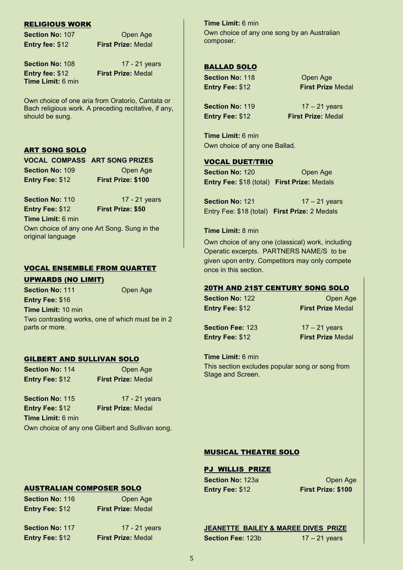#### RELIGIOUS WORK

**Section No: 107 Open Age Entry fee:** \$12 **First Prize:** Medal

**Entry fee:** \$12 **First Prize:** Medal **Time Limit:** 6 min

**Section No: 108 17 - 21 years** 

Own choice of one aria from Oratorio, Cantata or Bach religious work. A preceding recitative, if any, should be sung.

#### ART SONG SOLO

|                        | <b>VOCAL COMPASS ART SONG PRIZES</b> |
|------------------------|--------------------------------------|
| <b>Section No: 109</b> | Open Age                             |
| Entry Fee: \$12        | <b>First Prize: \$100</b>            |

**Entry Fee:** \$12 **First Prize: \$50 Time Limit:** 6 min

**Section No:** 110 17 - 21 years

Own choice of any one Art Song. Sung in the original language

#### VOCAL ENSEMBLE FROM QUARTET

#### UPWARDS (NO LIMIT)

**Section No: 111 Open Age** 

**Entry Fee:** \$16 **Time Limit:** 10 min Two contrasting works, one of which must be in 2 parts or more.

#### GILBERT AND SULLIVAN SOLO

**Section No: 114 Open Age Entry Fee:** \$12 **First Prize:** Medal

**Section No: 115 17 - 21 years Entry Fee:** \$12 **First Prize:** Medal **Time Limit:** 6 min

Own choice of any one Gilbert and Sullivan song.

**Time Limit:** 6 min Own choice of any one song by an Australian composer.

#### BALLAD SOLO

**Section No: 118 Open Age Entry Fee:** \$12 **First Prize** Medal

**Section No: 119** 17 – 21 years **Entry Fee:** \$12 **First Prize:** Medal

**Time Limit:** 6 min Own choice of any one Ballad.

#### VOCAL DUET/TRIO

**Section No: 120 Open Age Entry Fee:** \$18 (total) **First Prize:** Medals

**Section No: 121 17 – 21 years** Entry Fee: \$18 (total) **First Prize:** 2 Medals

#### **Time Limit:** 8 min

Own choice of any one (classical) work, including Operatic excerpts. PARTNERS NAME/S to be given upon entry. Competitors may only compete once in this section.

#### 20TH AND 21ST CENTURY SONG SOLO

**Section No: 122** Open Age

**Entry Fee:** \$12 **First Prize** Medal

**Section Fee: 123 17 – 21 years Entry Fee:** \$12 **First Prize** Medal

**Time Limit:** 6 min This section excludes popular song or song from Stage and Screen.

#### MUSICAL THEATRE SOLO

#### PJ WILLIS PRIZE

**Section No: 123a Changel Age Open Age Entry Fee:** \$12 **First Prize: \$100**

**JEANETTE BAILEY & MAREE DIVES PRIZE Section Fee: 123b** 17 – 21 years

AUSTRALIAN COMPOSER SOLO

**Section No: 116 Open Age Entry Fee:** \$12 **First Prize:** Medal

**Entry Fee:** \$12 **First Prize:** Medal

**Section No: 117 17 - 21 years**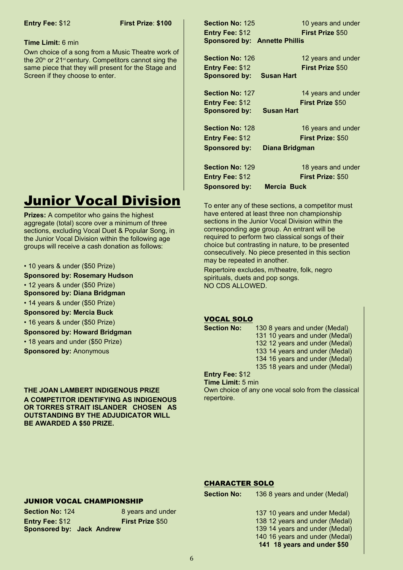#### **Time Limit:** 6 min

Own choice of a song from a Music Theatre work of the  $20<sup>th</sup>$  or  $21<sup>st</sup>$  century. Competitors cannot sing the same piece that they will present for the Stage and Screen if they choose to enter.

## Junior Vocal Division

**Prizes:** A competitor who gains the highest aggregate (total) score over a minimum of three sections, excluding Vocal Duet & Popular Song, in the Junior Vocal Division within the following age groups will receive a cash donation as follows:

#### • 10 years & under (\$50 Prize)

#### **Sponsored by: Rosemary Hudson**

• 12 years & under (\$50 Prize)

- **Sponsored by: Diana Bridgman**
- 14 years & under (\$50 Prize)

#### **Sponsored by: Mercia Buck**

• 16 years & under (\$50 Prize)

**Sponsored by: Howard Bridgman**

• 18 years and under (\$50 Prize)

**Sponsored by:** Anonymous

**THE JOAN LAMBERT INDIGENOUS PRIZE A COMPETITOR IDENTIFYING AS INDIGENOUS OR TORRES STRAIT ISLANDER CHOSEN AS OUTSTANDING BY THE ADJUDICATOR WILL BE AWARDED A \$50 PRIZE.**

**Section No: 125 10 years and under Entry Fee:** \$12 **First Prize** \$50 **Sponsored by: Annette Phillis**

**Section No:** 126 12 years and under **Entry Fee:** \$12 **First Prize** \$50 **Sponsored by: Susan Hart**

**Entry Fee:** \$12 **First Prize** \$50

**Section No:** 127 14 years and under **Sponsored by: Susan Hart**

**Section No:** 128 16 years and under **Entry Fee:** \$12 **First Prize:** \$50

**Sponsored by: Diana Bridgman**

**Section No:** 129 18 years and under **Entry Fee:** \$12 **First Prize:** \$50 **Sponsored by: Mercia Buck**

To enter any of these sections, a competitor must have entered at least three non championship sections in the Junior Vocal Division within the corresponding age group. An entrant will be required to perform two classical songs of their choice but contrasting in nature, to be presented consecutively. No piece presented in this section may be repeated in another.

Repertoire excludes, m/theatre, folk, negro spirituals, duets and pop songs. NO CDS ALLOWED.

#### VOCAL SOLO

**Section No:** 130 8 years and under (Medal) 131 10 years and under (Medal) 132 12 years and under (Medal) 133 14 years and under (Medal) 134 16 years and under (Medal)

135 18 years and under (Medal)

#### **Entry Fee:** \$12

**Time Limit:** 5 min Own choice of any one vocal solo from the classical repertoire.

#### CHARACTER SOLO

**Section No:** 136 8 years and under (Medal)

#### JUNIOR VOCAL CHAMPIONSHIP

**Section No:** 124 8 years and under **Entry Fee:** \$12 **First Prize** \$50 **Sponsored by: Jack Andrew**

137 10 years and under Medal) 138 12 years and under (Medal) 139 14 years and under (Medal) 140 16 years and under (Medal) **141 18 years and under \$50**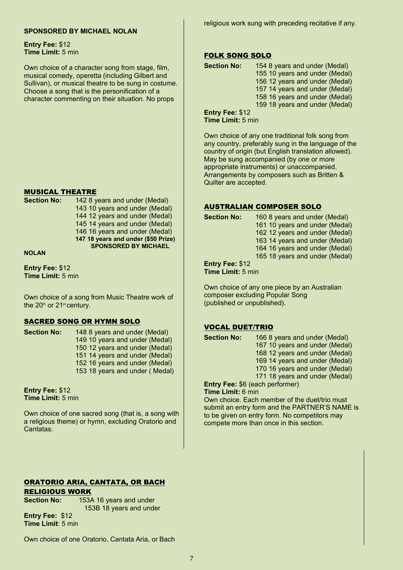#### **SPONSORED BY MICHAEL NOLAN**

religious work sung with preceding recitative if any.

**Entry Fee:** \$12 **Time Limit:** 5 min

Own choice of a character song from stage, film, musical comedy, operetta (including Gilbert and Sullivan), or musical theatre to be sung in costume. Choose a song that is the personification of a character commenting on their situation. No props

#### MUSICAL THEATRE

| <b>Section No:</b> | 142 8 years and under (Medal)       |
|--------------------|-------------------------------------|
|                    | 143 10 years and under (Medal)      |
|                    | 144 12 years and under (Medal)      |
|                    | 145 14 years and under (Medal)      |
|                    | 146 16 years and under (Medal)      |
|                    | 147 18 years and under (\$50 Prize) |
|                    | <b>SPONSORED BY MICHAEL</b>         |
|                    |                                     |

**NOLAN**

**Entry Fee:** \$12 **Time Limit:** 5 min

Own choice of a song from Music Theatre work of the  $20<sup>th</sup>$  or  $21<sup>st</sup>$  century.

#### SACRED SONG OR HYMN SOLO

**Section No:** 148 8 years and under (Medal) 149 10 years and under (Medal) 150 12 years and under (Medal) 151 14 years and under (Medal) 152 16 years and under (Medal) 153 18 years and under ( Medal)

**Entry Fee:** \$12 **Time Limit:** 5 min

Own choice of one sacred song (that is, a song with a religious theme) or hymn, excluding Oratorio and Cantatas.

#### FOLK SONG SOLO

| <b>Section No:</b> | 154 8 years and under (Medal)  |  |
|--------------------|--------------------------------|--|
|                    | 155 10 years and under (Medal) |  |
|                    | 156 12 years and under (Medal) |  |
|                    | 157 14 years and under (Medal) |  |
|                    | 158 16 years and under (Medal) |  |
|                    | 159 18 years and under (Medal) |  |
| Entry Fee: \$12    |                                |  |
|                    |                                |  |

**Time Limit:** 5 min

Own choice of any one traditional folk song from any country, preferably sung in the language of the country of origin (but English translation allowed). May be sung accompanied (by one or more appropriate instruments) or unaccompanied. Arrangements by composers such as Britten & Quilter are accepted.

#### AUSTRALIAN COMPOSER SOLO

| <b>Section No:</b> | 160 8 years and under (Medal)  |
|--------------------|--------------------------------|
|                    | 161 10 years and under (Medal) |
|                    | 162 12 years and under (Medal) |
|                    | 163 14 years and under (Medal) |
|                    | 164 16 years and under (Medal) |
|                    | 165 18 years and under (Medal) |
|                    |                                |

**Entry Fee:** \$12

**Time Limit:** 5 min

Own choice of any one piece by an Australian composer excluding Popular Song (published or unpublished).

#### VOCAL DUET/TRIO

| <b>Section No:</b> | 166 8 years and under (Medal)  |
|--------------------|--------------------------------|
|                    | 167 10 years and under (Medal) |
|                    | 168 12 years and under (Medal) |
|                    | 169 14 years and under (Medal) |
|                    | 170 16 years and under (Medal) |
|                    | 171 18 years and under (Medal) |
|                    |                                |

**Entry Fee:** \$6 (each performer)

**Time Limit:** 6 min

Own choice. Each member of the duet/trio must submit an entry form and the PARTNER'S NAME is to be given on entry form. No competitors may compete more than once in this section.

#### ORATORIO ARIA, CANTATA, OR BACH RELIGIOUS WORK

**Section No:** 153A 16 years and under 153B 18 years and under

**Entry Fee:** \$12 **Time Limit**: 5 min

Own choice of one Oratorio, Cantata Aria, or Bach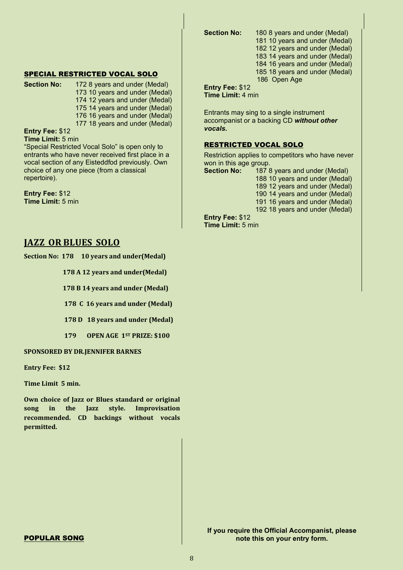**Section No:** 180 8 years and under (Medal) 181 10 years and under (Medal) 182 12 years and under (Medal) 183 14 years and under (Medal) 184 16 years and under (Medal) 185 18 years and under (Medal) 186 Open Age

#### SPECIAL RESTRICTED VOCAL SOLO

**Section No:** 172 8 years and under (Medal) 173 10 years and under (Medal) 174 12 years and under (Medal) 175 14 years and under (Medal) 176 16 years and under (Medal) 177 18 years and under (Medal)

**Entry Fee:** \$12

**Time Limit:** 5 min

"Special Restricted Vocal Solo" is open only to entrants who have never received first place in a vocal section of any Eisteddfod previously. Own choice of any one piece (from a classical repertoire).

**Entry Fee:** \$12 **Time Limit:** 5 min

#### **JAZZ OR BLUES SOLO**

**Section No: 178 10 years and under(Medal)**

 **178 A 12 years and under(Medal)**

 **178 B 14 years and under (Medal)**

 **178 C 16 years and under (Medal)**

 **178 D 18 years and under (Medal)**

 **179 OPEN AGE 1ST PRIZE: \$100**

#### **SPONSORED BY DR.JENNIFER BARNES**

**Entry Fee: \$12**

**Time Limit 5 min.**

**Own choice of Jazz or Blues standard or original song in the Jazz style. Improvisation recommended. CD backings without vocals permitted.**

**Entry Fee:** \$12 **Time Limit:** 4 min

Entrants may sing to a single instrument accompanist or a backing CD *without other vocals.*

#### RESTRICTED VOCAL SOLO

Restriction applies to competitors who have never won in this age group.

**Section No:** 187 8 years and under (Medal) 10 years and under (Medal) 12 years and under (Medal) 14 years and under (Medal) 16 years and under (Medal) 18 years and under (Medal) **Entry Fee:** \$12

**Time Limit:** 5 min

**If you require the Official Accompanist, please note this on your entry form.**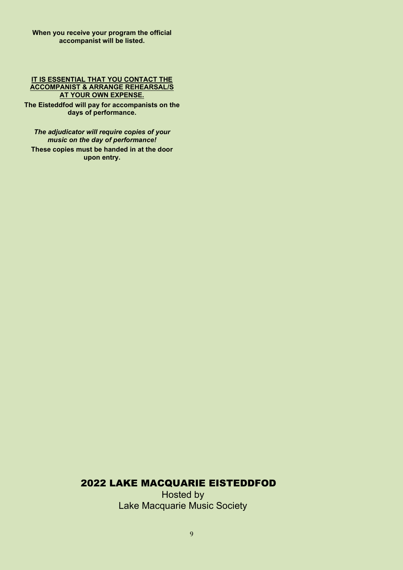#### **IT IS ESSENTIAL THAT YOU CONTACT THE ACCOMPANIST & ARRANGE REHEARSAL/S AT YOUR OWN EXPENSE.**

**The Eisteddfod will pay for accompanists on the days of performance.**

*The adjudicator will require copies of your music on the day of performance!* **These copies must be handed in at the door** 

**upon entry.**

#### 2022 LAKE MACQUARIE EISTEDDFOD

Hosted by Lake Macquarie Music Society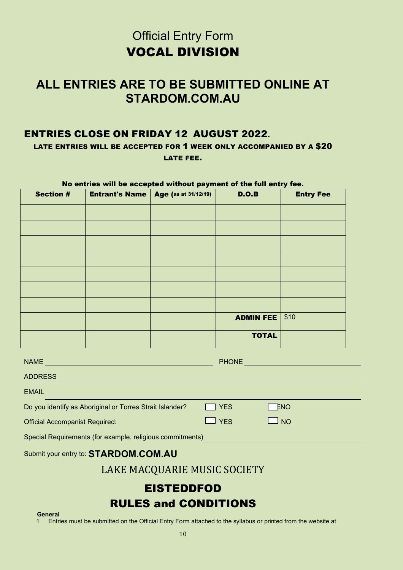## **Official Entry Form** VOCAL DIVISION

## **ALL ENTRIES ARE TO BE SUBMITTED ONLINE AT STARDOM.COM.AU**

#### ENTRIES CLOSE ON FRIDAY 12 AUGUST 2022**.**

LATE ENTRIES WILL BE ACCEPTED FOR 1 WEEK ONLY ACCOMPANIED BY A \$20 LATE FEE.

#### No entries will be accepted without payment of the full entry fee.

| <b>Section #</b> | <b>Entrant's Name   Age (as at 31/12/19)</b> | D.O.B            | <b>Entry Fee</b> |
|------------------|----------------------------------------------|------------------|------------------|
|                  |                                              |                  |                  |
|                  |                                              |                  |                  |
|                  |                                              |                  |                  |
|                  |                                              |                  |                  |
|                  |                                              |                  |                  |
|                  |                                              |                  |                  |
|                  |                                              |                  |                  |
|                  |                                              | <b>ADMIN FEE</b> | \$10             |
|                  |                                              | <b>TOTAL</b>     |                  |

| <b>NAME</b>                                               | <b>PHONE</b> |               |  |
|-----------------------------------------------------------|--------------|---------------|--|
| <b>ADDRESS</b>                                            |              |               |  |
| <b>EMAIL</b>                                              |              |               |  |
| Do you identify as Aboriginal or Torres Strait Islander?  | <b>YES</b>   | $\square$ ENO |  |
| <b>Official Accompanist Required:</b>                     | $\Box$ YES   | $\Box$ NO     |  |
| Special Requirements (for example, religious commitments) |              |               |  |

#### Submit your entry to: **STARDOM.COM.AU**

### LAKE MACQUARIE MUSIC SOCIETY

# EISTEDDFOD **RULES and CONDITIONS**<br>**General**<br>**1** Entries must be submitted on the Official Entry Form attached to the syllabus

1 Entries must be submitted on the Official Entry Form attached to the syllabus or printed from the website at